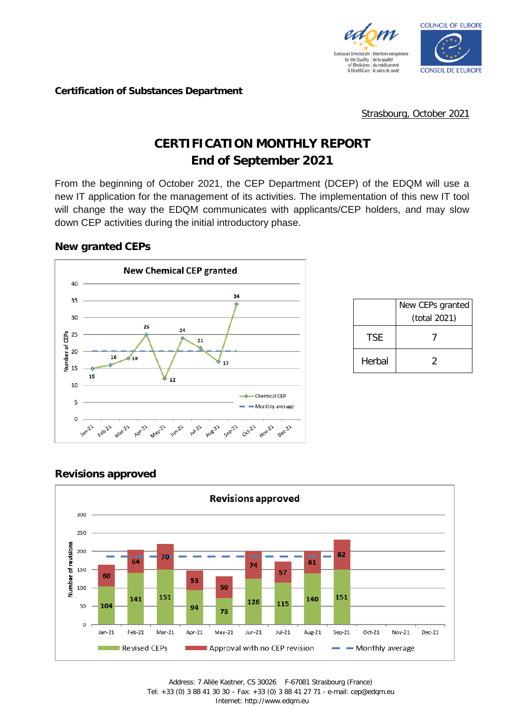



#### **Certification of Substances Department**

Strasbourg, October 2021

# **CERTIFICATION MONTHLY REPORT End of September 2021**

From the beginning of October 2021, the CEP Department (DCEP) of the EDQM will use a new IT application for the management of its activities. The implementation of this new IT tool will change the way the EDQM communicates with applicants/CEP holders, and may slow down CEP activities during the initial introductory phase.

#### **New granted CEPs**



|        | New CEPs granted<br>(total 2021) |
|--------|----------------------------------|
| TSF.   |                                  |
| Herbal | 2                                |

### **Revisions approved**

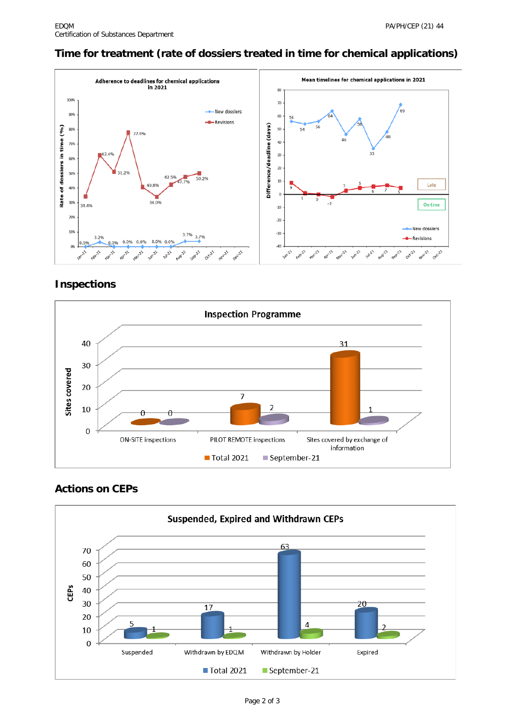# **Time for treatment (rate of dossiers treated in time for chemical applications)**



### **Inspections**



## **Actions on CEPs**